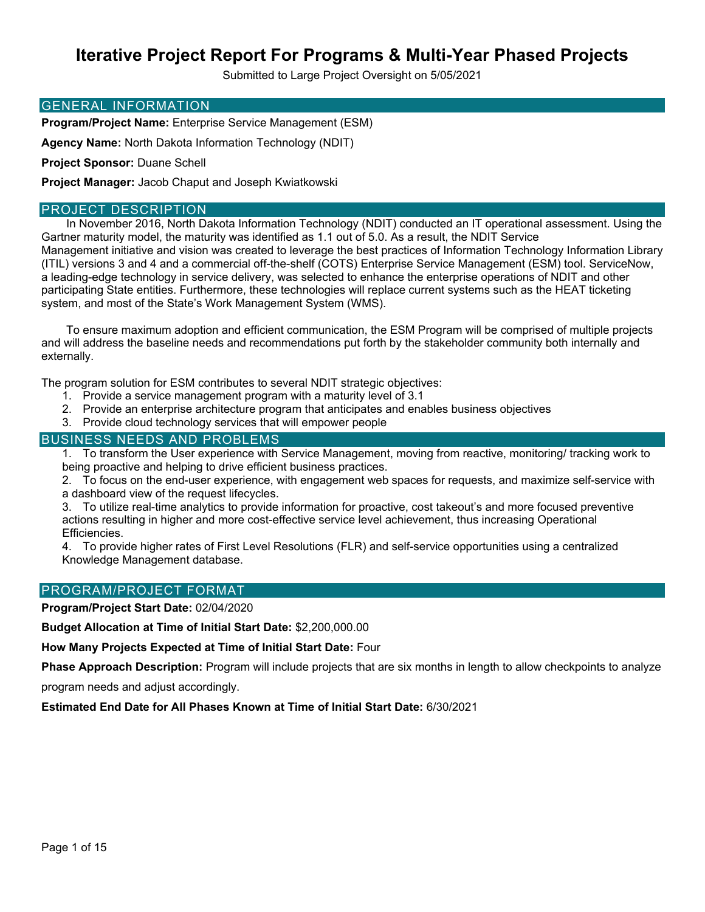Submitted to Large Project Oversight on 5/05/2021

#### GENERAL INFORMATION

**Program/Project Name:** Enterprise Service Management (ESM)

**Agency Name:** North Dakota Information Technology (NDIT)

**Project Sponsor:** Duane Schell

**Project Manager:** Jacob Chaput and Joseph Kwiatkowski

### PROJECT DESCRIPTION

In November 2016, North Dakota Information Technology (NDIT) conducted an IT operational assessment. Using the Gartner maturity model, the maturity was identified as 1.1 out of 5.0. As a result, the NDIT Service Management initiative and vision was created to leverage the best practices of Information Technology Information Library (ITIL) versions 3 and 4 and a commercial off-the-shelf (COTS) Enterprise Service Management (ESM) tool. ServiceNow, a leading-edge technology in service delivery, was selected to enhance the enterprise operations of NDIT and other participating State entities. Furthermore, these technologies will replace current systems such as the HEAT ticketing system, and most of the State's Work Management System (WMS).

To ensure maximum adoption and efficient communication, the ESM Program will be comprised of multiple projects and will address the baseline needs and recommendations put forth by the stakeholder community both internally and externally.

The program solution for ESM contributes to several NDIT strategic objectives:

- 1. Provide a service management program with a maturity level of 3.1
- 2. Provide an enterprise architecture program that anticipates and enables business objectives
- 3. Provide cloud technology services that will empower people

#### BUSINESS NEEDS AND PROBLEMS

1. To transform the User experience with Service Management, moving from reactive, monitoring/ tracking work to being proactive and helping to drive efficient business practices.

2. To focus on the end-user experience, with engagement web spaces for requests, and maximize self-service with a dashboard view of the request lifecycles.

3. To utilize real-time analytics to provide information for proactive, cost takeout's and more focused preventive actions resulting in higher and more cost-effective service level achievement, thus increasing Operational Efficiencies.

4. To provide higher rates of First Level Resolutions (FLR) and self-service opportunities using a centralized Knowledge Management database.

#### PROGRAM/PROJECT FORMAT

**Program/Project Start Date:** 02/04/2020

**Budget Allocation at Time of Initial Start Date:** \$2,200,000.00

**How Many Projects Expected at Time of Initial Start Date:** Four

**Phase Approach Description:** Program will include projects that are six months in length to allow checkpoints to analyze

program needs and adjust accordingly.

**Estimated End Date for All Phases Known at Time of Initial Start Date:** 6/30/2021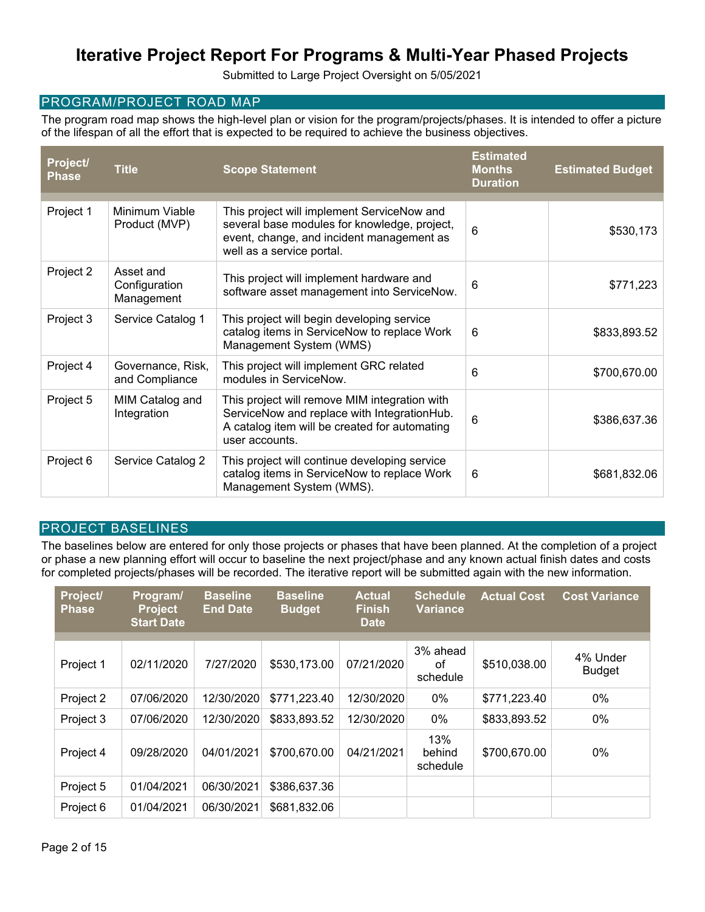Submitted to Large Project Oversight on 5/05/2021

#### PROGRAM/PROJECT ROAD MAP

The program road map shows the high-level plan or vision for the program/projects/phases. It is intended to offer a picture of the lifespan of all the effort that is expected to be required to achieve the business objectives.

| Project/<br><b>Phase</b> | <b>Title</b>                             | <b>Scope Statement</b>                                                                                                                                               | <b>Estimated</b><br><b>Months</b><br><b>Duration</b> | <b>Estimated Budget</b> |
|--------------------------|------------------------------------------|----------------------------------------------------------------------------------------------------------------------------------------------------------------------|------------------------------------------------------|-------------------------|
| Project 1                | Minimum Viable<br>Product (MVP)          | This project will implement ServiceNow and<br>several base modules for knowledge, project,<br>event, change, and incident management as<br>well as a service portal. | 6                                                    | \$530,173               |
| Project 2                | Asset and<br>Configuration<br>Management | This project will implement hardware and<br>software asset management into ServiceNow.                                                                               | 6                                                    | \$771,223               |
| Project 3                | Service Catalog 1                        | This project will begin developing service<br>catalog items in ServiceNow to replace Work<br>Management System (WMS)                                                 | 6                                                    | \$833,893.52            |
| Project 4                | Governance, Risk,<br>and Compliance      | This project will implement GRC related<br>modules in ServiceNow.                                                                                                    | 6                                                    | \$700,670.00            |
| Project 5                | MIM Catalog and<br>Integration           | This project will remove MIM integration with<br>ServiceNow and replace with IntegrationHub.<br>A catalog item will be created for automating<br>user accounts.      | 6                                                    | \$386,637.36            |
| Project 6                | Service Catalog 2                        | This project will continue developing service<br>catalog items in ServiceNow to replace Work<br>Management System (WMS).                                             | 6                                                    | \$681,832.06            |

#### PROJECT BASELINES

The baselines below are entered for only those projects or phases that have been planned. At the completion of a project or phase a new planning effort will occur to baseline the next project/phase and any known actual finish dates and costs for completed projects/phases will be recorded. The iterative report will be submitted again with the new information.

| Project/<br><b>Phase</b> | Program/<br><b>Project</b><br><b>Start Date</b> | <b>Baseline</b><br><b>End Date</b> | <b>Baseline</b><br><b>Budget</b> | <b>Actual</b><br><b>Finish</b><br><b>Date</b> | <b>Schedule</b><br><b>Variance</b> | <b>Actual Cost</b> | <b>Cost Variance</b>      |
|--------------------------|-------------------------------------------------|------------------------------------|----------------------------------|-----------------------------------------------|------------------------------------|--------------------|---------------------------|
|                          |                                                 |                                    |                                  |                                               |                                    |                    |                           |
| Project 1                | 02/11/2020                                      | 7/27/2020                          | \$530,173.00                     | 07/21/2020                                    | 3% ahead<br>of<br>schedule         | \$510,038.00       | 4% Under<br><b>Budget</b> |
| Project 2                | 07/06/2020                                      | 12/30/2020                         | \$771,223.40                     | 12/30/2020                                    | 0%                                 | \$771,223.40       | 0%                        |
| Project 3                | 07/06/2020                                      | 12/30/2020                         | \$833,893.52                     | 12/30/2020                                    | 0%                                 | \$833,893.52       | 0%                        |
| Project 4                | 09/28/2020                                      | 04/01/2021                         | \$700,670.00                     | 04/21/2021                                    | 13%<br>behind<br>schedule          | \$700,670.00       | 0%                        |
| Project 5                | 01/04/2021                                      | 06/30/2021                         | \$386,637.36                     |                                               |                                    |                    |                           |
| Project 6                | 01/04/2021                                      | 06/30/2021                         | \$681,832.06                     |                                               |                                    |                    |                           |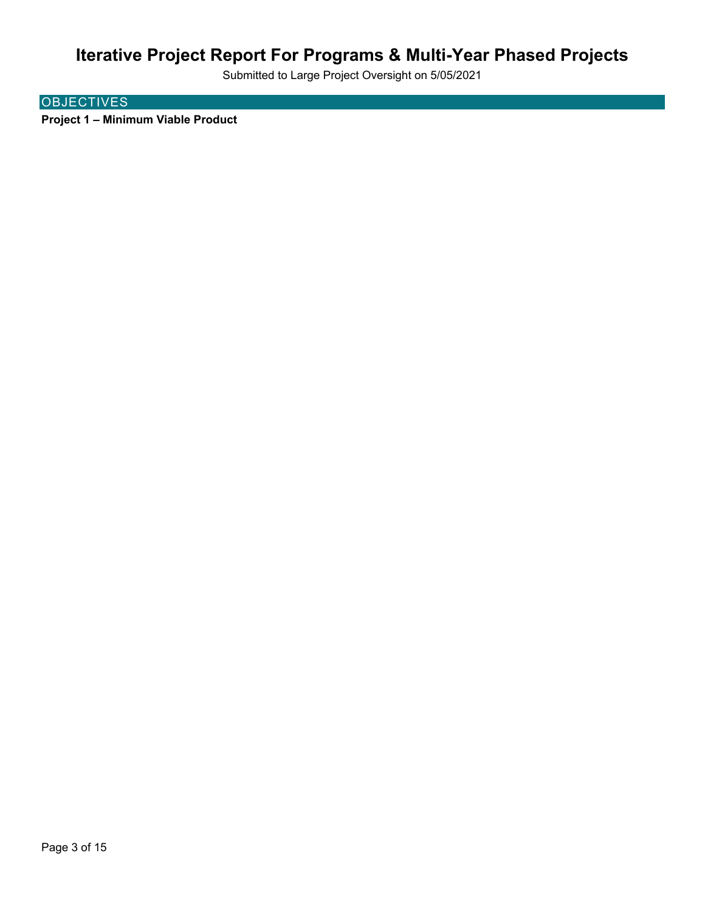Submitted to Large Project Oversight on 5/05/2021

### **OBJECTIVES**

**Project 1 – Minimum Viable Product**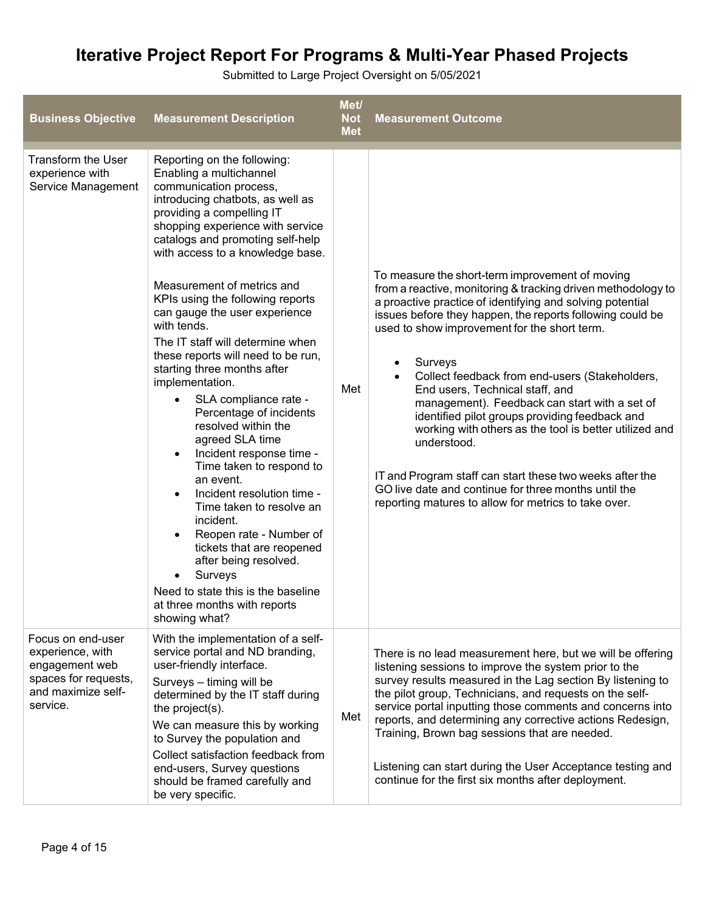| <b>Business Objective</b>                                                                                         | <b>Measurement Description</b>                                                                                                                                                                                                                                                                                                                                                                                                                                                                                                                                                                                                                                                                                                                                                                                                                                                                                                                                                                            | Met/<br><b>Not</b><br><b>Met</b> | <b>Measurement Outcome</b>                                                                                                                                                                                                                                                                                                                                                                                                                                                                                                                                                                                                                                                                                                                             |
|-------------------------------------------------------------------------------------------------------------------|-----------------------------------------------------------------------------------------------------------------------------------------------------------------------------------------------------------------------------------------------------------------------------------------------------------------------------------------------------------------------------------------------------------------------------------------------------------------------------------------------------------------------------------------------------------------------------------------------------------------------------------------------------------------------------------------------------------------------------------------------------------------------------------------------------------------------------------------------------------------------------------------------------------------------------------------------------------------------------------------------------------|----------------------------------|--------------------------------------------------------------------------------------------------------------------------------------------------------------------------------------------------------------------------------------------------------------------------------------------------------------------------------------------------------------------------------------------------------------------------------------------------------------------------------------------------------------------------------------------------------------------------------------------------------------------------------------------------------------------------------------------------------------------------------------------------------|
| Transform the User<br>experience with<br>Service Management                                                       | Reporting on the following:<br>Enabling a multichannel<br>communication process,<br>introducing chatbots, as well as<br>providing a compelling IT<br>shopping experience with service<br>catalogs and promoting self-help<br>with access to a knowledge base.<br>Measurement of metrics and<br>KPIs using the following reports<br>can gauge the user experience<br>with tends.<br>The IT staff will determine when<br>these reports will need to be run,<br>starting three months after<br>implementation.<br>SLA compliance rate -<br>$\bullet$<br>Percentage of incidents<br>resolved within the<br>agreed SLA time<br>Incident response time -<br>$\bullet$<br>Time taken to respond to<br>an event.<br>Incident resolution time -<br>$\bullet$<br>Time taken to resolve an<br>incident.<br>Reopen rate - Number of<br>$\bullet$<br>tickets that are reopened<br>after being resolved.<br>Surveys<br>$\bullet$<br>Need to state this is the baseline<br>at three months with reports<br>showing what? | Met                              | To measure the short-term improvement of moving<br>from a reactive, monitoring & tracking driven methodology to<br>a proactive practice of identifying and solving potential<br>issues before they happen, the reports following could be<br>used to show improvement for the short term.<br>Surveys<br>٠<br>Collect feedback from end-users (Stakeholders,<br>End users, Technical staff, and<br>management). Feedback can start with a set of<br>identified pilot groups providing feedback and<br>working with others as the tool is better utilized and<br>understood.<br>IT and Program staff can start these two weeks after the<br>GO live date and continue for three months until the<br>reporting matures to allow for metrics to take over. |
| Focus on end-user<br>experience, with<br>engagement web<br>spaces for requests,<br>and maximize self-<br>service. | With the implementation of a self-<br>service portal and ND branding,<br>user-friendly interface.<br>Surveys - timing will be<br>determined by the IT staff during<br>the project(s).<br>We can measure this by working<br>to Survey the population and<br>Collect satisfaction feedback from<br>end-users, Survey questions<br>should be framed carefully and<br>be very specific.                                                                                                                                                                                                                                                                                                                                                                                                                                                                                                                                                                                                                       | Met                              | There is no lead measurement here, but we will be offering<br>listening sessions to improve the system prior to the<br>survey results measured in the Lag section By listening to<br>the pilot group, Technicians, and requests on the self-<br>service portal inputting those comments and concerns into<br>reports, and determining any corrective actions Redesign,<br>Training, Brown bag sessions that are needed.<br>Listening can start during the User Acceptance testing and<br>continue for the first six months after deployment.                                                                                                                                                                                                           |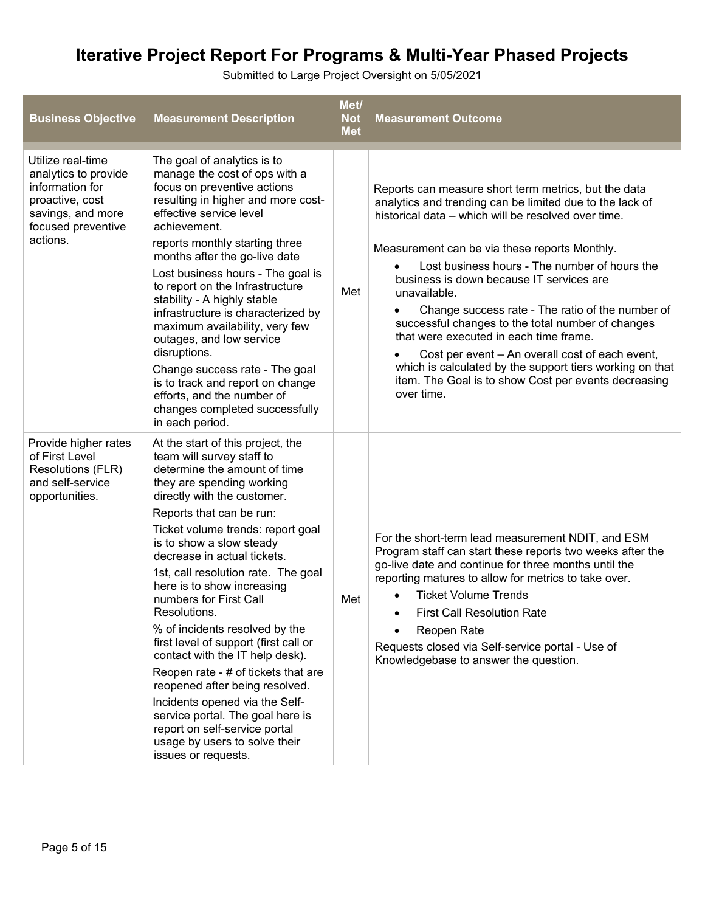| <b>Business Objective</b>                                                                                                              | <b>Measurement Description</b>                                                                                                                                                                                                                                                                                                                                                                                                                                                                                                                                                                                                                                                                                                                              | Met/<br><b>Not</b><br><b>Met</b> | <b>Measurement Outcome</b>                                                                                                                                                                                                                                                                                                                                                                                                                                                                                                                                                                                                                                                    |
|----------------------------------------------------------------------------------------------------------------------------------------|-------------------------------------------------------------------------------------------------------------------------------------------------------------------------------------------------------------------------------------------------------------------------------------------------------------------------------------------------------------------------------------------------------------------------------------------------------------------------------------------------------------------------------------------------------------------------------------------------------------------------------------------------------------------------------------------------------------------------------------------------------------|----------------------------------|-------------------------------------------------------------------------------------------------------------------------------------------------------------------------------------------------------------------------------------------------------------------------------------------------------------------------------------------------------------------------------------------------------------------------------------------------------------------------------------------------------------------------------------------------------------------------------------------------------------------------------------------------------------------------------|
| Utilize real-time<br>analytics to provide<br>information for<br>proactive, cost<br>savings, and more<br>focused preventive<br>actions. | The goal of analytics is to<br>manage the cost of ops with a<br>focus on preventive actions<br>resulting in higher and more cost-<br>effective service level<br>achievement.<br>reports monthly starting three<br>months after the go-live date<br>Lost business hours - The goal is<br>to report on the Infrastructure<br>stability - A highly stable<br>infrastructure is characterized by<br>maximum availability, very few<br>outages, and low service<br>disruptions.<br>Change success rate - The goal<br>is to track and report on change<br>efforts, and the number of<br>changes completed successfully<br>in each period.                                                                                                                         | Met                              | Reports can measure short term metrics, but the data<br>analytics and trending can be limited due to the lack of<br>historical data – which will be resolved over time.<br>Measurement can be via these reports Monthly.<br>Lost business hours - The number of hours the<br>business is down because IT services are<br>unavailable.<br>Change success rate - The ratio of the number of<br>successful changes to the total number of changes<br>that were executed in each time frame.<br>Cost per event - An overall cost of each event,<br>which is calculated by the support tiers working on that<br>item. The Goal is to show Cost per events decreasing<br>over time. |
| Provide higher rates<br>of First Level<br>Resolutions (FLR)<br>and self-service<br>opportunities.                                      | At the start of this project, the<br>team will survey staff to<br>determine the amount of time<br>they are spending working<br>directly with the customer.<br>Reports that can be run:<br>Ticket volume trends: report goal<br>is to show a slow steady<br>decrease in actual tickets.<br>1st, call resolution rate. The goal<br>here is to show increasing<br>numbers for First Call<br>Resolutions.<br>% of incidents resolved by the<br>first level of support (first call or<br>contact with the IT help desk).<br>Reopen rate - # of tickets that are<br>reopened after being resolved.<br>Incidents opened via the Self-<br>service portal. The goal here is<br>report on self-service portal<br>usage by users to solve their<br>issues or requests. | Met                              | For the short-term lead measurement NDIT, and ESM<br>Program staff can start these reports two weeks after the<br>go-live date and continue for three months until the<br>reporting matures to allow for metrics to take over.<br><b>Ticket Volume Trends</b><br><b>First Call Resolution Rate</b><br>Reopen Rate<br>Requests closed via Self-service portal - Use of<br>Knowledgebase to answer the question.                                                                                                                                                                                                                                                                |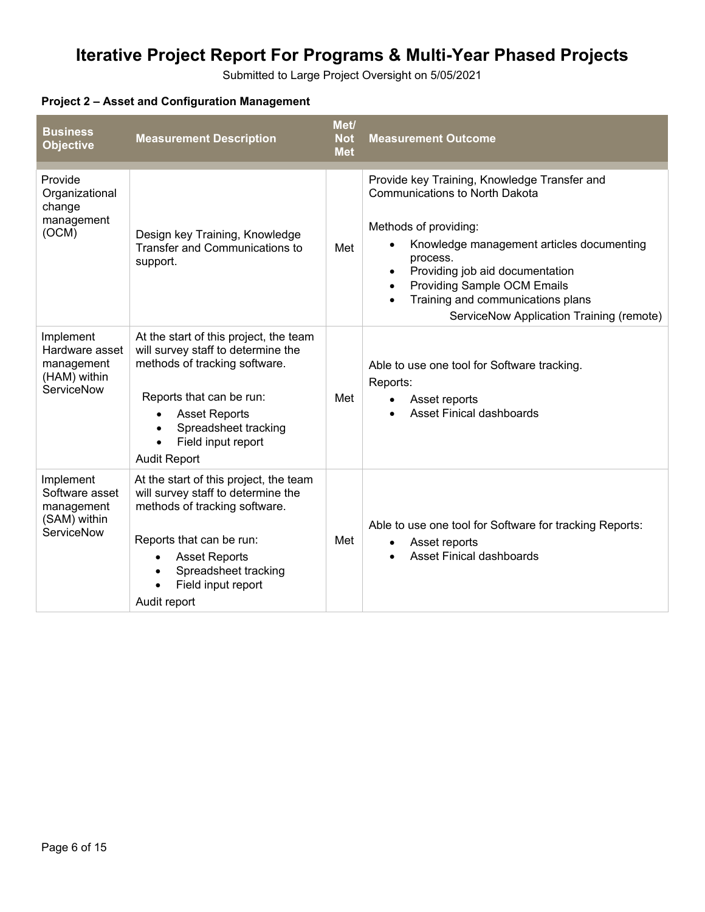Submitted to Large Project Oversight on 5/05/2021

### **Project 2 – Asset and Configuration Management**

| <b>Business</b><br><b>Objective</b>                                            | <b>Measurement Description</b>                                                                                                                                                                                                                            | Met/<br><b>Not</b><br><b>Met</b> | <b>Measurement Outcome</b>                                                                                                                                                                                                                                                                                                 |
|--------------------------------------------------------------------------------|-----------------------------------------------------------------------------------------------------------------------------------------------------------------------------------------------------------------------------------------------------------|----------------------------------|----------------------------------------------------------------------------------------------------------------------------------------------------------------------------------------------------------------------------------------------------------------------------------------------------------------------------|
| Provide<br>Organizational<br>change<br>management<br>(OCM)                     | Design key Training, Knowledge<br>Transfer and Communications to<br>support.                                                                                                                                                                              | Met                              | Provide key Training, Knowledge Transfer and<br><b>Communications to North Dakota</b><br>Methods of providing:<br>Knowledge management articles documenting<br>process.<br>Providing job aid documentation<br>Providing Sample OCM Emails<br>Training and communications plans<br>ServiceNow Application Training (remote) |
| Implement<br>Hardware asset<br>management<br>(HAM) within<br><b>ServiceNow</b> | At the start of this project, the team<br>will survey staff to determine the<br>methods of tracking software.<br>Reports that can be run:<br><b>Asset Reports</b><br>Spreadsheet tracking<br>Field input report<br><b>Audit Report</b>                    | Met                              | Able to use one tool for Software tracking.<br>Reports:<br>Asset reports<br><b>Asset Finical dashboards</b>                                                                                                                                                                                                                |
| Implement<br>Software asset<br>management<br>(SAM) within<br><b>ServiceNow</b> | At the start of this project, the team<br>will survey staff to determine the<br>methods of tracking software.<br>Reports that can be run:<br><b>Asset Reports</b><br>$\bullet$<br>Spreadsheet tracking<br>$\bullet$<br>Field input report<br>Audit report | Met                              | Able to use one tool for Software for tracking Reports:<br>Asset reports<br>$\bullet$<br><b>Asset Finical dashboards</b>                                                                                                                                                                                                   |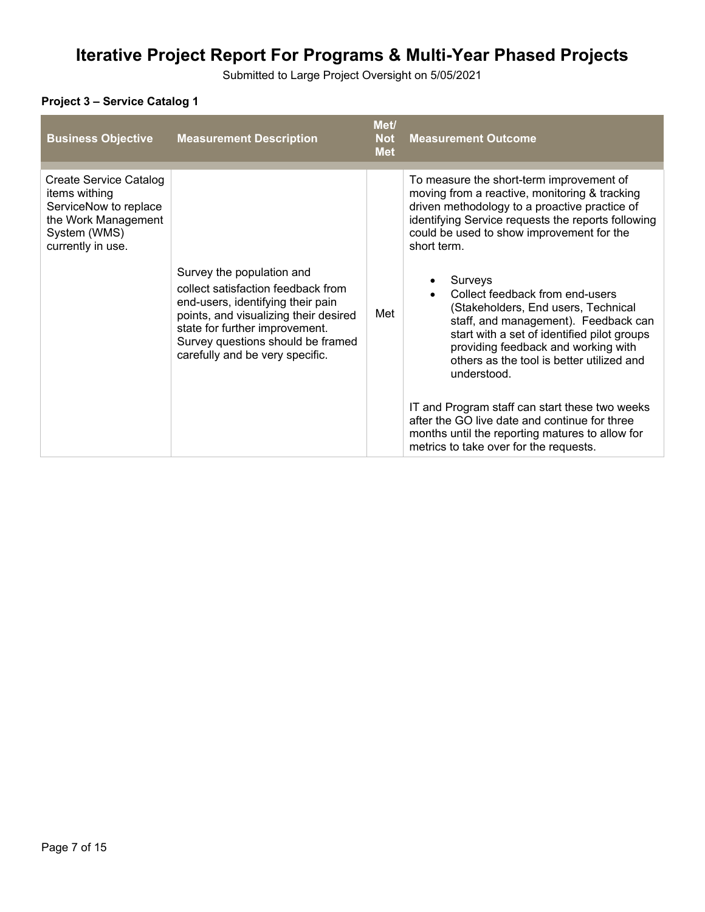Submitted to Large Project Oversight on 5/05/2021

### **Project 3 – Service Catalog 1**

| <b>Business Objective</b>                                                                                                    | <b>Measurement Description</b>                                                                                                                                                                                                                          | Met/<br><b>Not</b><br><b>Met</b> | <b>Measurement Outcome</b>                                                                                                                                                                                                                                                                                                                                                                                                                                                                                                                                                                                                                                                                                                                  |
|------------------------------------------------------------------------------------------------------------------------------|---------------------------------------------------------------------------------------------------------------------------------------------------------------------------------------------------------------------------------------------------------|----------------------------------|---------------------------------------------------------------------------------------------------------------------------------------------------------------------------------------------------------------------------------------------------------------------------------------------------------------------------------------------------------------------------------------------------------------------------------------------------------------------------------------------------------------------------------------------------------------------------------------------------------------------------------------------------------------------------------------------------------------------------------------------|
| Create Service Catalog<br>items withing<br>ServiceNow to replace<br>the Work Management<br>System (WMS)<br>currently in use. | Survey the population and<br>collect satisfaction feedback from<br>end-users, identifying their pain<br>points, and visualizing their desired<br>state for further improvement.<br>Survey questions should be framed<br>carefully and be very specific. | Met                              | To measure the short-term improvement of<br>moving from a reactive, monitoring & tracking<br>driven methodology to a proactive practice of<br>identifying Service requests the reports following<br>could be used to show improvement for the<br>short term.<br>Surveys<br>Collect feedback from end-users<br>(Stakeholders, End users, Technical<br>staff, and management). Feedback can<br>start with a set of identified pilot groups<br>providing feedback and working with<br>others as the tool is better utilized and<br>understood.<br>IT and Program staff can start these two weeks<br>after the GO live date and continue for three<br>months until the reporting matures to allow for<br>metrics to take over for the requests. |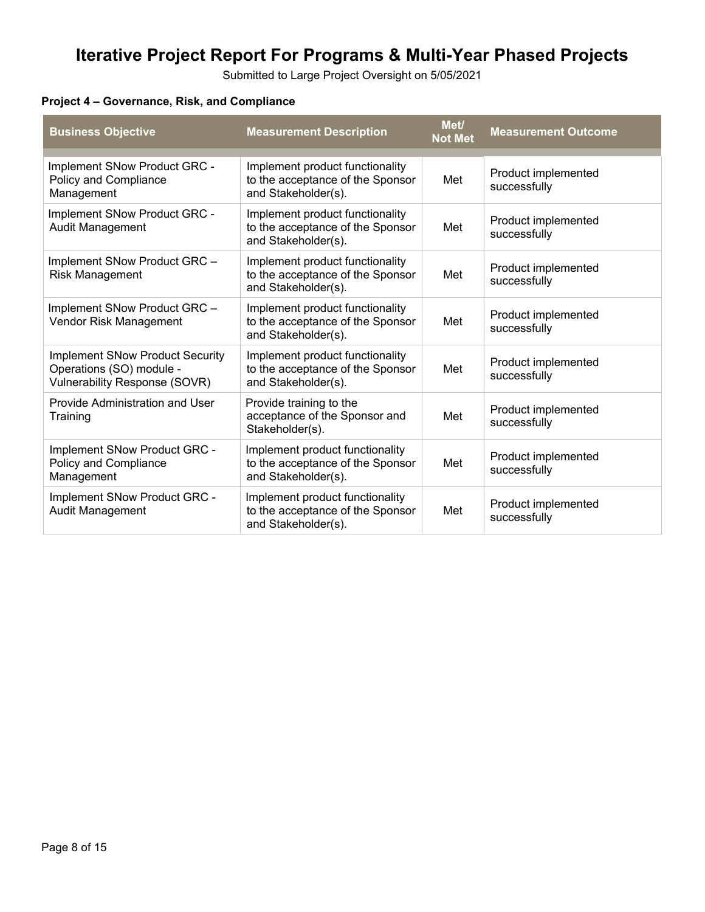Submitted to Large Project Oversight on 5/05/2021

### **Project 4 – Governance, Risk, and Compliance**

| <b>Business Objective</b>                                                                                  | <b>Measurement Description</b>                                                             | Met/<br><b>Not Met</b> | <b>Measurement Outcome</b>          |
|------------------------------------------------------------------------------------------------------------|--------------------------------------------------------------------------------------------|------------------------|-------------------------------------|
| Implement SNow Product GRC -<br>Policy and Compliance<br>Management                                        | Implement product functionality<br>to the acceptance of the Sponsor<br>and Stakeholder(s). | Met                    | Product implemented<br>successfully |
| Implement SNow Product GRC -<br>Audit Management                                                           | Implement product functionality<br>to the acceptance of the Sponsor<br>and Stakeholder(s). | Met                    | Product implemented<br>successfully |
| Implement SNow Product GRC -<br><b>Risk Management</b>                                                     | Implement product functionality<br>to the acceptance of the Sponsor<br>and Stakeholder(s). | Met                    | Product implemented<br>successfully |
| Implement SNow Product GRC -<br>Vendor Risk Management                                                     | Implement product functionality<br>to the acceptance of the Sponsor<br>and Stakeholder(s). | Met                    | Product implemented<br>successfully |
| <b>Implement SNow Product Security</b><br>Operations (SO) module -<br><b>Vulnerability Response (SOVR)</b> | Implement product functionality<br>to the acceptance of the Sponsor<br>and Stakeholder(s). | Met                    | Product implemented<br>successfully |
| Provide Administration and User<br>Training                                                                | Provide training to the<br>acceptance of the Sponsor and<br>Stakeholder(s).                | Met                    | Product implemented<br>successfully |
| Implement SNow Product GRC -<br>Policy and Compliance<br>Management                                        | Implement product functionality<br>to the acceptance of the Sponsor<br>and Stakeholder(s). | Met                    | Product implemented<br>successfully |
| Implement SNow Product GRC -<br><b>Audit Management</b>                                                    | Implement product functionality<br>to the acceptance of the Sponsor<br>and Stakeholder(s). | Met                    | Product implemented<br>successfully |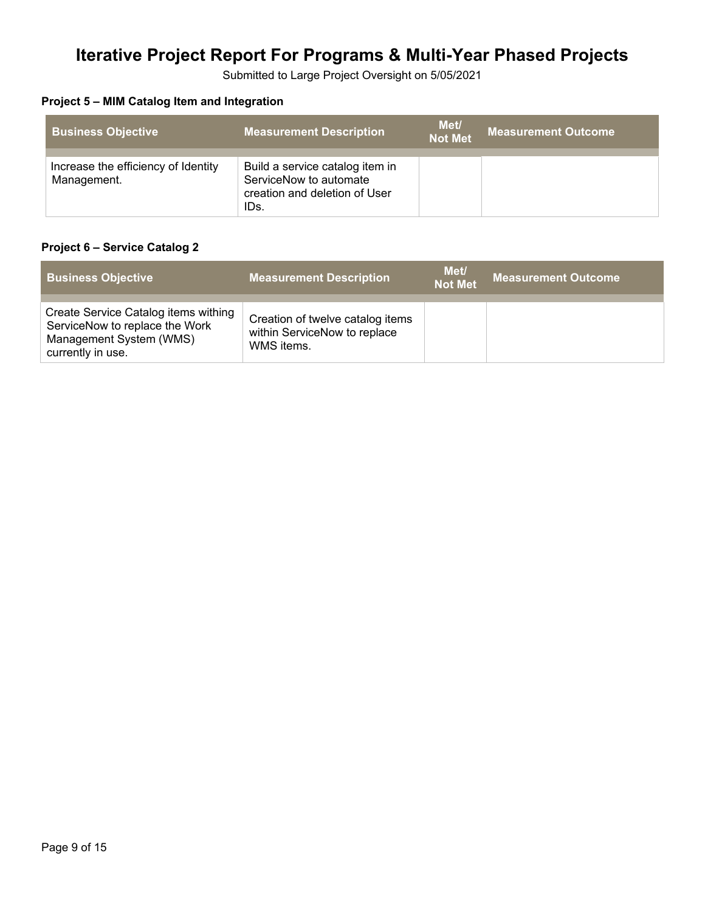Submitted to Large Project Oversight on 5/05/2021

### **Project 5 – MIM Catalog Item and Integration**

| <b>Business Objective</b>                          | <b>Measurement Description</b>                                                                     | Met/<br><b>Not Met</b> | <b>Measurement Outcome</b> |
|----------------------------------------------------|----------------------------------------------------------------------------------------------------|------------------------|----------------------------|
| Increase the efficiency of Identity<br>Management. | Build a service catalog item in<br>ServiceNow to automate<br>creation and deletion of User<br>IDs. |                        |                            |

#### **Project 6 – Service Catalog 2**

| <b>Business Objective</b>                                                                                              | <b>Measurement Description</b>                                                 | Met/<br><b>Not Met</b> | <b>Measurement Outcome</b> |
|------------------------------------------------------------------------------------------------------------------------|--------------------------------------------------------------------------------|------------------------|----------------------------|
| Create Service Catalog items withing<br>ServiceNow to replace the Work<br>Management System (WMS)<br>currently in use. | Creation of twelve catalog items<br>within ServiceNow to replace<br>WMS items. |                        |                            |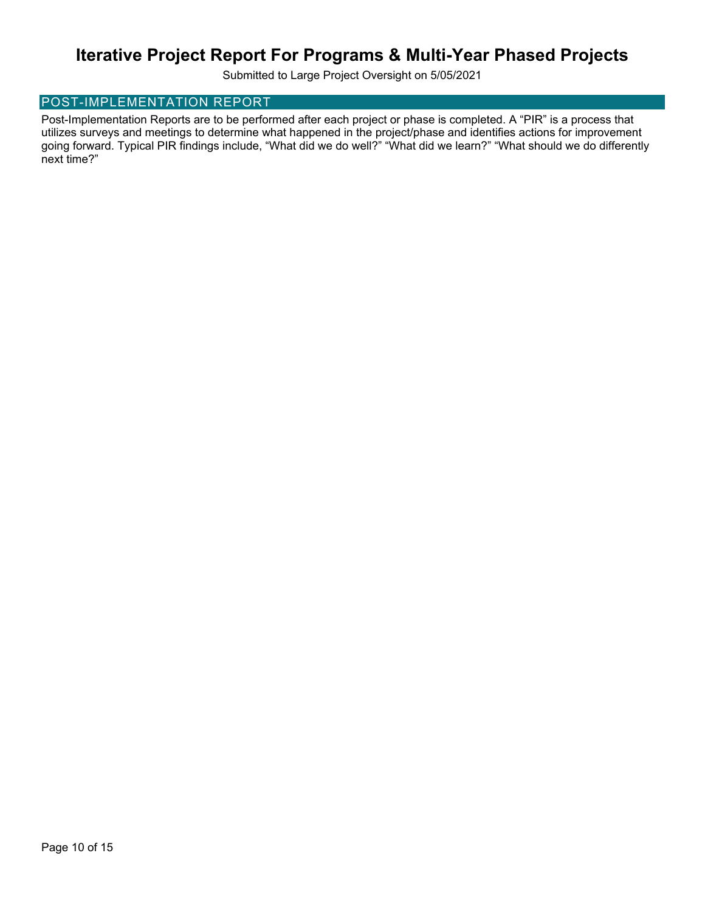Submitted to Large Project Oversight on 5/05/2021

#### POST-IMPLEMENTATION REPORT

Post-Implementation Reports are to be performed after each project or phase is completed. A "PIR" is a process that utilizes surveys and meetings to determine what happened in the project/phase and identifies actions for improvement going forward. Typical PIR findings include, "What did we do well?" "What did we learn?" "What should we do differently next time?"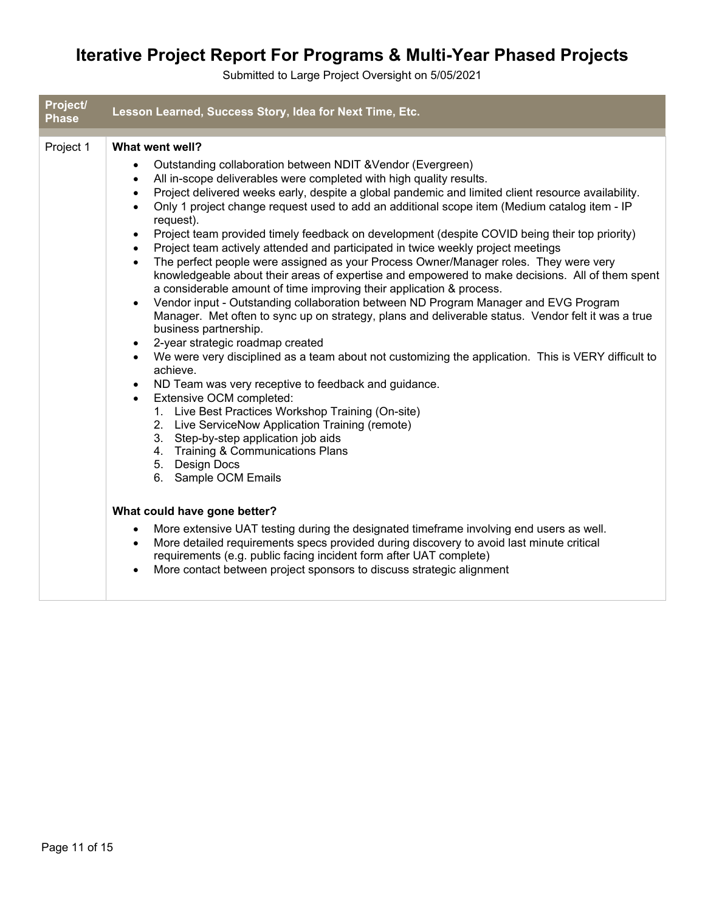| Project/<br><b>Phase</b> | Lesson Learned, Success Story, Idea for Next Time, Etc.                                                                                                                                                                                                                                                                                                                                                                                                                                                                                                                                                                                                                                                                                                                                                                                                                                                                                                                                                                                                                                                                                                                                                                                                                                                                                                                                                                                                                                                                                                                                                                                                                                         |
|--------------------------|-------------------------------------------------------------------------------------------------------------------------------------------------------------------------------------------------------------------------------------------------------------------------------------------------------------------------------------------------------------------------------------------------------------------------------------------------------------------------------------------------------------------------------------------------------------------------------------------------------------------------------------------------------------------------------------------------------------------------------------------------------------------------------------------------------------------------------------------------------------------------------------------------------------------------------------------------------------------------------------------------------------------------------------------------------------------------------------------------------------------------------------------------------------------------------------------------------------------------------------------------------------------------------------------------------------------------------------------------------------------------------------------------------------------------------------------------------------------------------------------------------------------------------------------------------------------------------------------------------------------------------------------------------------------------------------------------|
| Project 1                | What went well?<br>Outstanding collaboration between NDIT & Vendor (Evergreen)<br>$\bullet$<br>All in-scope deliverables were completed with high quality results.<br>$\bullet$<br>Project delivered weeks early, despite a global pandemic and limited client resource availability.<br>$\bullet$<br>Only 1 project change request used to add an additional scope item (Medium catalog item - IP<br>$\bullet$<br>request).<br>Project team provided timely feedback on development (despite COVID being their top priority)<br>$\bullet$<br>Project team actively attended and participated in twice weekly project meetings<br>$\bullet$<br>The perfect people were assigned as your Process Owner/Manager roles. They were very<br>$\bullet$<br>knowledgeable about their areas of expertise and empowered to make decisions. All of them spent<br>a considerable amount of time improving their application & process.<br>Vendor input - Outstanding collaboration between ND Program Manager and EVG Program<br>$\bullet$<br>Manager. Met often to sync up on strategy, plans and deliverable status. Vendor felt it was a true<br>business partnership.<br>2-year strategic roadmap created<br>$\bullet$<br>We were very disciplined as a team about not customizing the application. This is VERY difficult to<br>$\bullet$<br>achieve.<br>ND Team was very receptive to feedback and guidance.<br>$\bullet$<br>Extensive OCM completed:<br>$\bullet$<br>1. Live Best Practices Workshop Training (On-site)<br>2. Live ServiceNow Application Training (remote)<br>3. Step-by-step application job aids<br>4. Training & Communications Plans<br>5. Design Docs<br>6. Sample OCM Emails |
|                          | What could have gone better?<br>More extensive UAT testing during the designated timeframe involving end users as well.<br>$\bullet$<br>More detailed requirements specs provided during discovery to avoid last minute critical<br>$\bullet$<br>requirements (e.g. public facing incident form after UAT complete)<br>More contact between project sponsors to discuss strategic alignment<br>$\bullet$                                                                                                                                                                                                                                                                                                                                                                                                                                                                                                                                                                                                                                                                                                                                                                                                                                                                                                                                                                                                                                                                                                                                                                                                                                                                                        |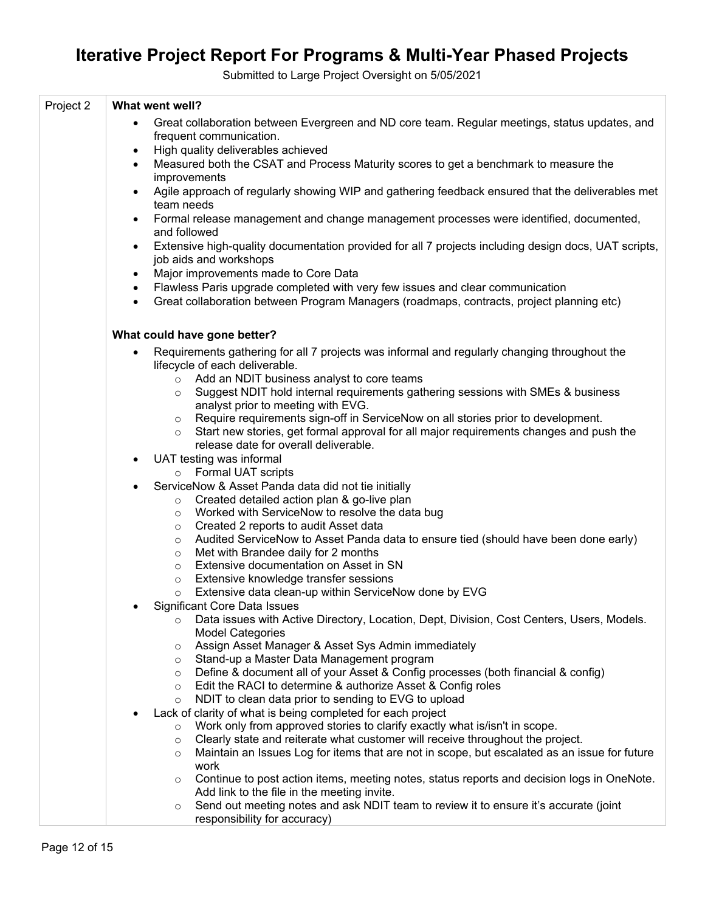| Project 2 | What went well?                                                                                                                                                                          |
|-----------|------------------------------------------------------------------------------------------------------------------------------------------------------------------------------------------|
|           | Great collaboration between Evergreen and ND core team. Regular meetings, status updates, and<br>$\bullet$<br>frequent communication.<br>High quality deliverables achieved<br>$\bullet$ |
|           | Measured both the CSAT and Process Maturity scores to get a benchmark to measure the<br>$\bullet$<br>improvements                                                                        |
|           | Agile approach of regularly showing WIP and gathering feedback ensured that the deliverables met<br>$\bullet$<br>team needs                                                              |
|           | Formal release management and change management processes were identified, documented,<br>$\bullet$<br>and followed                                                                      |
|           | Extensive high-quality documentation provided for all 7 projects including design docs, UAT scripts,<br>$\bullet$<br>job aids and workshops                                              |
|           | Major improvements made to Core Data<br>$\bullet$                                                                                                                                        |
|           | Flawless Paris upgrade completed with very few issues and clear communication<br>$\bullet$<br>Great collaboration between Program Managers (roadmaps, contracts, project planning etc)   |
|           | What could have gone better?                                                                                                                                                             |
|           | Requirements gathering for all 7 projects was informal and regularly changing throughout the<br>$\bullet$<br>lifecycle of each deliverable.                                              |
|           | Add an NDIT business analyst to core teams<br>$\circ$                                                                                                                                    |
|           | Suggest NDIT hold internal requirements gathering sessions with SMEs & business<br>$\circ$                                                                                               |
|           | analyst prior to meeting with EVG.<br>○ Require requirements sign-off in ServiceNow on all stories prior to development.                                                                 |
|           | Start new stories, get formal approval for all major requirements changes and push the<br>$\circ$                                                                                        |
|           | release date for overall deliverable.                                                                                                                                                    |
|           | UAT testing was informal<br>$\bullet$                                                                                                                                                    |
|           | o Formal UAT scripts                                                                                                                                                                     |
|           | ServiceNow & Asset Panda data did not tie initially<br>$\bullet$                                                                                                                         |
|           | Created detailed action plan & go-live plan<br>$\circ$                                                                                                                                   |
|           | Worked with ServiceNow to resolve the data bug<br>$\circ$                                                                                                                                |
|           | Created 2 reports to audit Asset data<br>$\circ$                                                                                                                                         |
|           | Audited ServiceNow to Asset Panda data to ensure tied (should have been done early)<br>$\circ$                                                                                           |
|           | Met with Brandee daily for 2 months<br>$\circ$<br>Extensive documentation on Asset in SN                                                                                                 |
|           | $\circ$<br>Extensive knowledge transfer sessions<br>$\circ$                                                                                                                              |
|           | Extensive data clean-up within ServiceNow done by EVG<br>$\circ$                                                                                                                         |
|           | <b>Significant Core Data Issues</b>                                                                                                                                                      |
|           | Data issues with Active Directory, Location, Dept, Division, Cost Centers, Users, Models.<br>$\circ$<br><b>Model Categories</b>                                                          |
|           | Assign Asset Manager & Asset Sys Admin immediately<br>$\circ$                                                                                                                            |
|           | Stand-up a Master Data Management program<br>$\circ$                                                                                                                                     |
|           | Define & document all of your Asset & Config processes (both financial & config)<br>$\circ$                                                                                              |
|           | Edit the RACI to determine & authorize Asset & Config roles<br>$\circ$                                                                                                                   |
|           | NDIT to clean data prior to sending to EVG to upload<br>$\circ$                                                                                                                          |
|           | Lack of clarity of what is being completed for each project                                                                                                                              |
|           | Work only from approved stories to clarify exactly what is/isn't in scope.<br>$\circ$<br>Clearly state and reiterate what customer will receive throughout the project.                  |
|           | $\circ$<br>Maintain an Issues Log for items that are not in scope, but escalated as an issue for future<br>$\circ$                                                                       |
|           | work                                                                                                                                                                                     |
|           | Continue to post action items, meeting notes, status reports and decision logs in OneNote.<br>$\circ$                                                                                    |
|           | Add link to the file in the meeting invite.                                                                                                                                              |
|           | Send out meeting notes and ask NDIT team to review it to ensure it's accurate (joint<br>$\circ$<br>responsibility for accuracy)                                                          |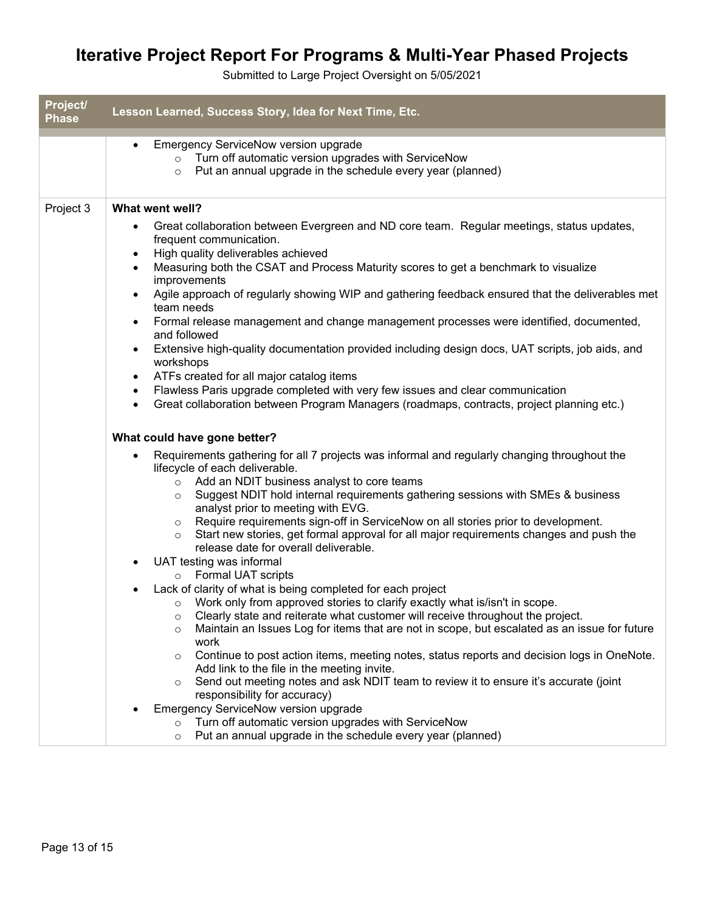| Project/<br><b>Phase</b> | Lesson Learned, Success Story, Idea for Next Time, Etc.                                                                                                                                                                                                                                                                                                                                                                                                                                                                                                                                                                                                                                                                                                                                                                                                                                                                                                                                                                                                                                                                                                          |
|--------------------------|------------------------------------------------------------------------------------------------------------------------------------------------------------------------------------------------------------------------------------------------------------------------------------------------------------------------------------------------------------------------------------------------------------------------------------------------------------------------------------------------------------------------------------------------------------------------------------------------------------------------------------------------------------------------------------------------------------------------------------------------------------------------------------------------------------------------------------------------------------------------------------------------------------------------------------------------------------------------------------------------------------------------------------------------------------------------------------------------------------------------------------------------------------------|
|                          | <b>Emergency ServiceNow version upgrade</b><br>$\bullet$<br>Turn off automatic version upgrades with ServiceNow<br>$\circ$<br>Put an annual upgrade in the schedule every year (planned)<br>$\circ$                                                                                                                                                                                                                                                                                                                                                                                                                                                                                                                                                                                                                                                                                                                                                                                                                                                                                                                                                              |
| Project 3                | What went well?                                                                                                                                                                                                                                                                                                                                                                                                                                                                                                                                                                                                                                                                                                                                                                                                                                                                                                                                                                                                                                                                                                                                                  |
|                          | Great collaboration between Evergreen and ND core team. Regular meetings, status updates,<br>frequent communication.<br>High quality deliverables achieved<br>Measuring both the CSAT and Process Maturity scores to get a benchmark to visualize<br>improvements<br>Agile approach of regularly showing WIP and gathering feedback ensured that the deliverables met<br>team needs<br>Formal release management and change management processes were identified, documented,<br>and followed<br>Extensive high-quality documentation provided including design docs, UAT scripts, job aids, and<br>workshops<br>ATFs created for all major catalog items<br>Flawless Paris upgrade completed with very few issues and clear communication<br>Great collaboration between Program Managers (roadmaps, contracts, project planning etc.)<br>What could have gone better?<br>Requirements gathering for all 7 projects was informal and regularly changing throughout the<br>lifecycle of each deliverable.<br>Add an NDIT business analyst to core teams<br>$\circ$<br>Suggest NDIT hold internal requirements gathering sessions with SMEs & business<br>$\circ$ |
|                          | analyst prior to meeting with EVG.<br>Require requirements sign-off in ServiceNow on all stories prior to development.<br>$\circ$<br>Start new stories, get formal approval for all major requirements changes and push the<br>$\circ$<br>release date for overall deliverable.<br>UAT testing was informal<br>o Formal UAT scripts<br>Lack of clarity of what is being completed for each project<br>Work only from approved stories to clarify exactly what is/isn't in scope.<br>$\circ$<br>Clearly state and reiterate what customer will receive throughout the project.<br>$\circ$<br>Maintain an Issues Log for items that are not in scope, but escalated as an issue for future<br>$\circ$<br>work<br>Continue to post action items, meeting notes, status reports and decision logs in OneNote.<br>$\circ$<br>Add link to the file in the meeting invite.<br>Send out meeting notes and ask NDIT team to review it to ensure it's accurate (joint<br>$\circ$<br>responsibility for accuracy)<br>Emergency ServiceNow version upgrade<br>Turn off automatic version upgrades with ServiceNow<br>$\circ$                                                 |
|                          | Put an annual upgrade in the schedule every year (planned)<br>$\circ$                                                                                                                                                                                                                                                                                                                                                                                                                                                                                                                                                                                                                                                                                                                                                                                                                                                                                                                                                                                                                                                                                            |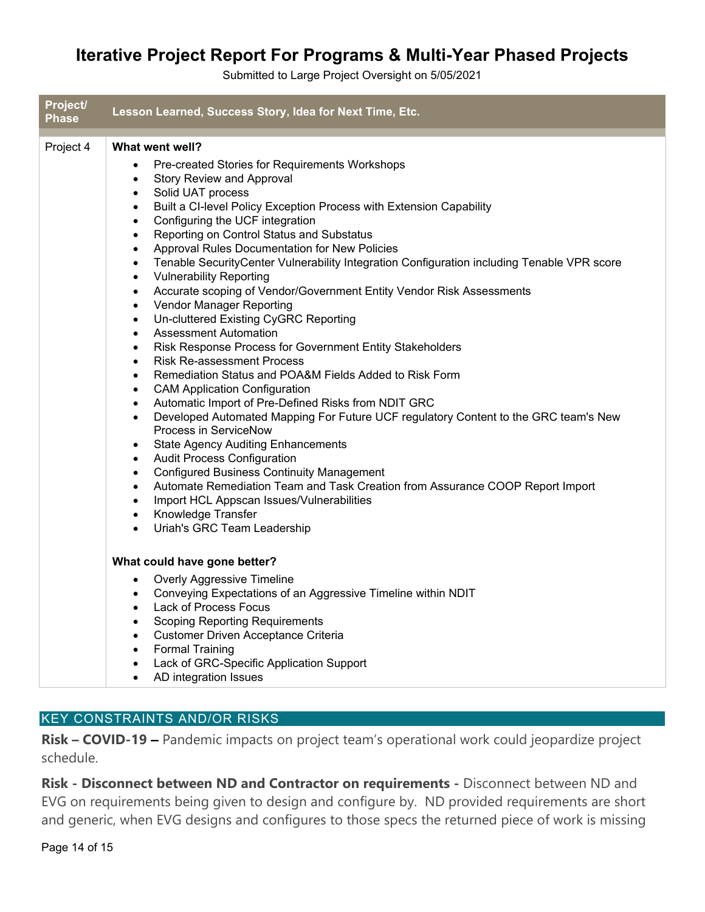Submitted to Large Project Oversight on 5/05/2021

| Project/<br><b>Phase</b> | Lesson Learned, Success Story, Idea for Next Time, Etc.                                                                                                                                                                                                                                                                                                                                                                                                                                                                                                                                                                                                                                                                                                                                                                                                                                                                                                                                                                                                                                                                                                                                                                                                                                                                                                                                                                                                                                                                                                                                                                                                                           |
|--------------------------|-----------------------------------------------------------------------------------------------------------------------------------------------------------------------------------------------------------------------------------------------------------------------------------------------------------------------------------------------------------------------------------------------------------------------------------------------------------------------------------------------------------------------------------------------------------------------------------------------------------------------------------------------------------------------------------------------------------------------------------------------------------------------------------------------------------------------------------------------------------------------------------------------------------------------------------------------------------------------------------------------------------------------------------------------------------------------------------------------------------------------------------------------------------------------------------------------------------------------------------------------------------------------------------------------------------------------------------------------------------------------------------------------------------------------------------------------------------------------------------------------------------------------------------------------------------------------------------------------------------------------------------------------------------------------------------|
| Project 4                | What went well?<br>Pre-created Stories for Requirements Workshops<br>$\bullet$<br><b>Story Review and Approval</b><br>$\bullet$<br>Solid UAT process<br>$\bullet$<br>Built a CI-level Policy Exception Process with Extension Capability<br>$\bullet$<br>Configuring the UCF integration<br>$\bullet$<br>Reporting on Control Status and Substatus<br>$\bullet$<br>Approval Rules Documentation for New Policies<br>$\bullet$<br>Tenable SecurityCenter Vulnerability Integration Configuration including Tenable VPR score<br>$\bullet$<br><b>Vulnerability Reporting</b><br>$\bullet$<br>Accurate scoping of Vendor/Government Entity Vendor Risk Assessments<br>$\bullet$<br>Vendor Manager Reporting<br>$\bullet$<br>Un-cluttered Existing CyGRC Reporting<br>$\bullet$<br>Assessment Automation<br>$\bullet$<br>Risk Response Process for Government Entity Stakeholders<br>$\bullet$<br><b>Risk Re-assessment Process</b><br>$\bullet$<br>Remediation Status and POA&M Fields Added to Risk Form<br>$\bullet$<br><b>CAM Application Configuration</b><br>$\bullet$<br>Automatic Import of Pre-Defined Risks from NDIT GRC<br>$\bullet$<br>Developed Automated Mapping For Future UCF regulatory Content to the GRC team's New<br>$\bullet$<br>Process in ServiceNow<br><b>State Agency Auditing Enhancements</b><br>$\bullet$<br><b>Audit Process Configuration</b><br>$\bullet$<br><b>Configured Business Continuity Management</b><br>$\bullet$<br>Automate Remediation Team and Task Creation from Assurance COOP Report Import<br>$\bullet$<br>Import HCL Appscan Issues/Vulnerabilities<br>$\bullet$<br>Knowledge Transfer<br>$\bullet$<br>Uriah's GRC Team Leadership |
|                          | What could have gone better?<br><b>Overly Aggressive Timeline</b><br>$\bullet$<br>Conveying Expectations of an Aggressive Timeline within NDIT<br>$\bullet$<br><b>Lack of Process Focus</b><br>$\bullet$<br><b>Scoping Reporting Requirements</b><br>$\bullet$<br>Customer Driven Acceptance Criteria<br>$\bullet$<br><b>Formal Training</b><br>$\bullet$<br>Lack of GRC-Specific Application Support<br>$\bullet$<br>AD integration Issues                                                                                                                                                                                                                                                                                                                                                                                                                                                                                                                                                                                                                                                                                                                                                                                                                                                                                                                                                                                                                                                                                                                                                                                                                                       |

### KEY CONSTRAINTS AND/OR RISKS

**Risk – COVID-19 –** Pandemic impacts on project team's operational work could jeopardize project schedule.

Risk - Disconnect between ND and Contractor on requirements - Disconnect between ND and EVG on requirements being given to design and configure by. ND provided requirements are short and generic, when EVG designs and configures to those specs the returned piece of work is missing